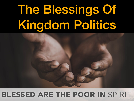# The Blessings Of Kingdom Politics



#### **BLESSED ARE THE POOR IN SPIRIT**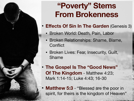### **"Poverty" Stems From Brokenness**

- **Effects Of Sin In The Garden** (Genesis 3)
	- Broken World: Death, Pain, Labor
	- Broken Relationships: Shame, Blame, **Conflict**
	- Broken Lives: Fear, Insecurity, Guilt, Shame
- **The Gospel Is The "Good News" Of The Kingdom - Matthew 4:23;** Mark 1:14-15; Luke 4:43; 16-30

THE PASSE FOR STREET AND LODGED ALL

**Matthew 5:3** - "Blessed are the poor in spirit, for theirs is the kingdom of Heaven"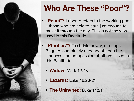

# **Who Are These "Poor"?**

- **"Penei"?** Laborer; refers to the working poor – those who are able to earn just enough to make it through the day. This is not the word used in this Beatitude.
- **"Ptochos"?** To shrink, cower, or cringe. Beggars completely dependent upon the kindness and compassion of others. Used in this Beatitude.
	- **Widow:** Mark 12:43
	- **Lazarus:** Luke 16:20-21
	- **The Uninvited:** Luke 14:21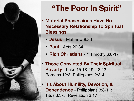## **"The Poor In Spirit"**

- **• Material Possessions Have No Necessary Relationship To Spiritual Blessings** 
	- **Jesus** Matthew 8:20
	- **Paul** Acts 20:34
	- **Rich Christians** 1 Timothy 6:6-17
- **Those Convicted By Their Spiritual Poverty** - Luke 15:18-19; 18:13; Romans 12:3; Philippians 2:3-4
- **It's About Humility, Devotion, & Dependence** - Philippians 3:8-11; Titus 3:3-5; Revelation 3:17

STATE AND PRODUCTS INTO THE RESIDENCE.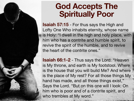#### **God Accepts The Spiritually Poor**

**Isaiah 57:15** - For thus says the High and Lofty One Who inhabits eternity, whose name is Holy: "I dwell in the high and holy place, with him who has a contrite and humble spirit, to revive the spirit of the humble, and to revive the heart of the contrite ones."

**Isaiah 66:1-2** - Thus says the Lord: "Heaven is My throne, and earth is My footstool. Where is the house that you will build Me? And where is the place of My rest? For all those things My hand has made, and all those things exist," Says the Lord. "But on this one will I look: On him who is poor and of a contrite spirit, and who trembles at My word."

The Control of the Control of Control